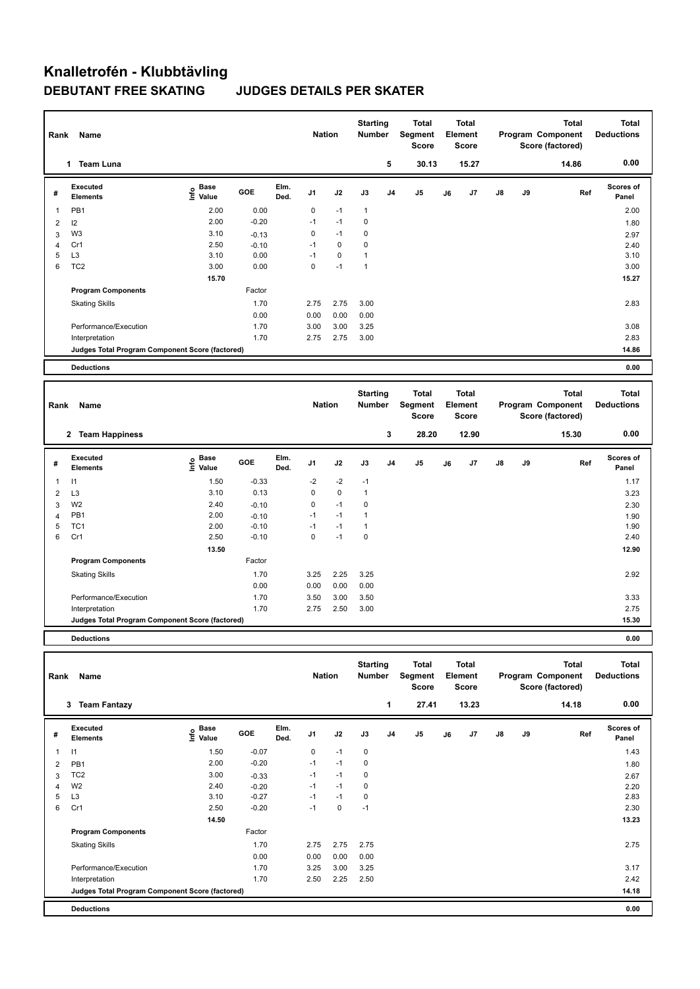# **Knalletrofén - Klubbtävling DEBUTANT FREE SKATING JUDGES DETAILS PER SKATER**

| Rank                         | Name                                            |                                  |                    |              | <b>Nation</b>  |              | <b>Starting</b><br><b>Number</b> |                | <b>Total</b><br>Segment<br><b>Score</b>        |    | <b>Total</b><br>Element<br><b>Score</b> |    |    | <b>Total</b><br>Program Component<br>Score (factored) | <b>Total</b><br><b>Deductions</b> |
|------------------------------|-------------------------------------------------|----------------------------------|--------------------|--------------|----------------|--------------|----------------------------------|----------------|------------------------------------------------|----|-----------------------------------------|----|----|-------------------------------------------------------|-----------------------------------|
|                              | 1 Team Luna                                     |                                  |                    |              |                |              |                                  | 5              | 30.13                                          |    | 15.27                                   |    |    | 14.86                                                 | 0.00                              |
| #                            | Executed<br><b>Elements</b>                     | <b>Base</b><br>e Base<br>⊆ Value | GOE                | Elm.<br>Ded. | J1             | J2           | J3                               | J <sub>4</sub> | J <sub>5</sub>                                 | J6 | J7                                      | J8 | J9 | Ref                                                   | Scores of<br>Panel                |
| 1                            | PB <sub>1</sub>                                 | 2.00                             | 0.00               |              | 0              | $-1$         | $\mathbf{1}$                     |                |                                                |    |                                         |    |    |                                                       | 2.00                              |
| $\overline{\mathbf{c}}$      | 12                                              | 2.00                             | $-0.20$            |              | $-1$           | $-1$         | 0                                |                |                                                |    |                                         |    |    |                                                       | 1.80                              |
| 3                            | W <sub>3</sub>                                  | 3.10                             | $-0.13$            |              | 0              | $-1$         | 0                                |                |                                                |    |                                         |    |    |                                                       | 2.97                              |
| 4                            | Cr1                                             | 2.50                             | $-0.10$            |              | $-1$           | $\mathbf 0$  | 0                                |                |                                                |    |                                         |    |    |                                                       | 2.40                              |
| 5                            | L <sub>3</sub>                                  | 3.10                             | 0.00               |              | $-1$           | $\mathbf 0$  | $\mathbf{1}$                     |                |                                                |    |                                         |    |    |                                                       | 3.10                              |
| 6                            | TC <sub>2</sub>                                 | 3.00                             | 0.00               |              | 0              | $-1$         | 1                                |                |                                                |    |                                         |    |    |                                                       | 3.00                              |
|                              |                                                 | 15.70                            |                    |              |                |              |                                  |                |                                                |    |                                         |    |    |                                                       | 15.27                             |
|                              | <b>Program Components</b>                       |                                  | Factor             |              |                |              |                                  |                |                                                |    |                                         |    |    |                                                       |                                   |
|                              | <b>Skating Skills</b>                           |                                  | 1.70               |              | 2.75           | 2.75         | 3.00                             |                |                                                |    |                                         |    |    |                                                       | 2.83                              |
|                              |                                                 |                                  | 0.00               |              | 0.00           | 0.00         | 0.00                             |                |                                                |    |                                         |    |    |                                                       |                                   |
|                              | Performance/Execution                           |                                  | 1.70               |              | 3.00           | 3.00         | 3.25                             |                |                                                |    |                                         |    |    |                                                       | 3.08                              |
|                              | Interpretation                                  |                                  | 1.70               |              | 2.75           | 2.75         | 3.00                             |                |                                                |    |                                         |    |    |                                                       | 2.83                              |
|                              | Judges Total Program Component Score (factored) |                                  |                    |              |                |              |                                  |                |                                                |    |                                         |    |    |                                                       | 14.86                             |
|                              |                                                 |                                  |                    |              |                |              |                                  |                |                                                |    |                                         |    |    |                                                       |                                   |
|                              |                                                 |                                  |                    |              |                |              |                                  |                |                                                |    |                                         |    |    |                                                       |                                   |
|                              | <b>Deductions</b>                               |                                  |                    |              |                |              |                                  |                |                                                |    |                                         |    |    |                                                       | 0.00                              |
| Rank                         | Name                                            |                                  |                    |              | <b>Nation</b>  |              | <b>Starting</b><br><b>Number</b> |                | <b>Total</b><br><b>Segment</b><br><b>Score</b> |    | <b>Total</b><br>Element<br><b>Score</b> |    |    | <b>Total</b><br>Program Component<br>Score (factored) | <b>Total</b><br><b>Deductions</b> |
|                              | 2 Team Happiness                                |                                  |                    |              |                |              |                                  | 3              | 28.20                                          |    | 12.90                                   |    |    | 15.30                                                 | 0.00                              |
| #                            | <b>Executed</b><br><b>Elements</b>              | <b>Base</b><br>١nf٥<br>Value     | GOE                | Elm.<br>Ded. | J <sub>1</sub> | J2           | J3                               | J <sub>4</sub> | J <sub>5</sub>                                 | J6 | J7                                      | J8 | J9 | Ref                                                   | Scores of<br>Panel                |
| 1                            | $\mathsf{I}$                                    | 1.50                             | $-0.33$            |              | $-2$           | $-2$         | $-1$                             |                |                                                |    |                                         |    |    |                                                       | 1.17                              |
|                              |                                                 | 3.10                             | 0.13               |              | 0              | $\mathbf 0$  | $\mathbf{1}$                     |                |                                                |    |                                         |    |    |                                                       |                                   |
| $\overline{2}$               | L <sub>3</sub><br>W <sub>2</sub>                | 2.40                             |                    |              | 0              | $-1$         | 0                                |                |                                                |    |                                         |    |    |                                                       | 3.23                              |
| 3                            | PB <sub>1</sub>                                 | 2.00                             | $-0.10$            |              | $-1$           | $-1$         | 1                                |                |                                                |    |                                         |    |    |                                                       | 2.30                              |
| $\overline{\mathbf{4}}$<br>5 | TC <sub>1</sub>                                 | 2.00                             | $-0.10$<br>$-0.10$ |              | $-1$           | $-1$         | $\mathbf{1}$                     |                |                                                |    |                                         |    |    |                                                       | 1.90<br>1.90                      |
| 6                            | Cr1                                             | 2.50                             | $-0.10$            |              | 0              | $-1$         | $\mathbf 0$                      |                |                                                |    |                                         |    |    |                                                       | 2.40                              |
|                              |                                                 | 13.50                            |                    |              |                |              |                                  |                |                                                |    |                                         |    |    |                                                       | 12.90                             |
|                              | <b>Program Components</b>                       |                                  | Factor             |              |                |              |                                  |                |                                                |    |                                         |    |    |                                                       |                                   |
|                              |                                                 |                                  | 1.70               |              | 3.25           |              |                                  |                |                                                |    |                                         |    |    |                                                       | 2.92                              |
|                              | <b>Skating Skills</b>                           |                                  |                    |              |                | 2.25         | 3.25                             |                |                                                |    |                                         |    |    |                                                       |                                   |
|                              | Performance/Execution                           |                                  | 0.00<br>1.70       |              | 0.00<br>3.50   | 0.00<br>3.00 | 0.00<br>3.50                     |                |                                                |    |                                         |    |    |                                                       | 3.33                              |

**Judges Total Program Component Score (factored) 15.30**

**Deductions 0.00**

|                | Name<br>Rank                                    |                                  |         |              |                |      | <b>Starting</b><br><b>Number</b> |                | <b>Total</b><br>Segment<br><b>Score</b> | <b>Total</b><br>Element<br><b>Score</b> |       |               |    | <b>Total</b><br>Program Component<br>Score (factored) | <b>Total</b><br><b>Deductions</b> |
|----------------|-------------------------------------------------|----------------------------------|---------|--------------|----------------|------|----------------------------------|----------------|-----------------------------------------|-----------------------------------------|-------|---------------|----|-------------------------------------------------------|-----------------------------------|
|                | <b>Team Fantazy</b><br>3                        |                                  |         |              |                |      |                                  | 1              | 27.41                                   |                                         | 13.23 |               |    | 14.18                                                 | 0.00                              |
| #              | Executed<br><b>Elements</b>                     | <b>Base</b><br>o Base<br>⊆ Value | GOE     | Elm.<br>Ded. | J <sub>1</sub> | J2   | J3                               | J <sub>4</sub> | J <sub>5</sub>                          | J6                                      | J7    | $\mathsf{J}8$ | J9 | Ref                                                   | <b>Scores of</b><br>Panel         |
| $\overline{1}$ | 1                                               | 1.50                             | $-0.07$ |              | 0              | $-1$ | $\mathbf 0$                      |                |                                         |                                         |       |               |    |                                                       | 1.43                              |
| $\overline{2}$ | PB <sub>1</sub>                                 | 2.00                             | $-0.20$ |              | $-1$           | $-1$ | 0                                |                |                                         |                                         |       |               |    |                                                       | 1.80                              |
| 3              | TC <sub>2</sub>                                 | 3.00                             | $-0.33$ |              | $-1$           | $-1$ | 0                                |                |                                         |                                         |       |               |    |                                                       | 2.67                              |
| $\overline{4}$ | W <sub>2</sub>                                  | 2.40                             | $-0.20$ |              | $-1$           | $-1$ | 0                                |                |                                         |                                         |       |               |    |                                                       | 2.20                              |
| 5              | L <sub>3</sub>                                  | 3.10                             | $-0.27$ |              | $-1$           | $-1$ | 0                                |                |                                         |                                         |       |               |    |                                                       | 2.83                              |
| 6              | Cr1                                             | 2.50                             | $-0.20$ |              | $-1$           | 0    | $-1$                             |                |                                         |                                         |       |               |    |                                                       | 2.30                              |
|                |                                                 | 14.50                            |         |              |                |      |                                  |                |                                         |                                         |       |               |    |                                                       | 13.23                             |
|                | <b>Program Components</b>                       |                                  | Factor  |              |                |      |                                  |                |                                         |                                         |       |               |    |                                                       |                                   |
|                | <b>Skating Skills</b>                           |                                  | 1.70    |              | 2.75           | 2.75 | 2.75                             |                |                                         |                                         |       |               |    |                                                       | 2.75                              |
|                |                                                 |                                  | 0.00    |              | 0.00           | 0.00 | 0.00                             |                |                                         |                                         |       |               |    |                                                       |                                   |
|                | Performance/Execution                           |                                  | 1.70    |              | 3.25           | 3.00 | 3.25                             |                |                                         |                                         |       |               |    |                                                       | 3.17                              |
|                | Interpretation                                  |                                  | 1.70    |              | 2.50           | 2.25 | 2.50                             |                |                                         |                                         |       |               |    |                                                       | 2.42                              |
|                | Judges Total Program Component Score (factored) |                                  |         |              |                |      |                                  |                |                                         |                                         |       |               |    |                                                       | 14.18                             |
|                | <b>Deductions</b>                               |                                  |         |              |                |      |                                  |                |                                         |                                         |       |               |    |                                                       | 0.00                              |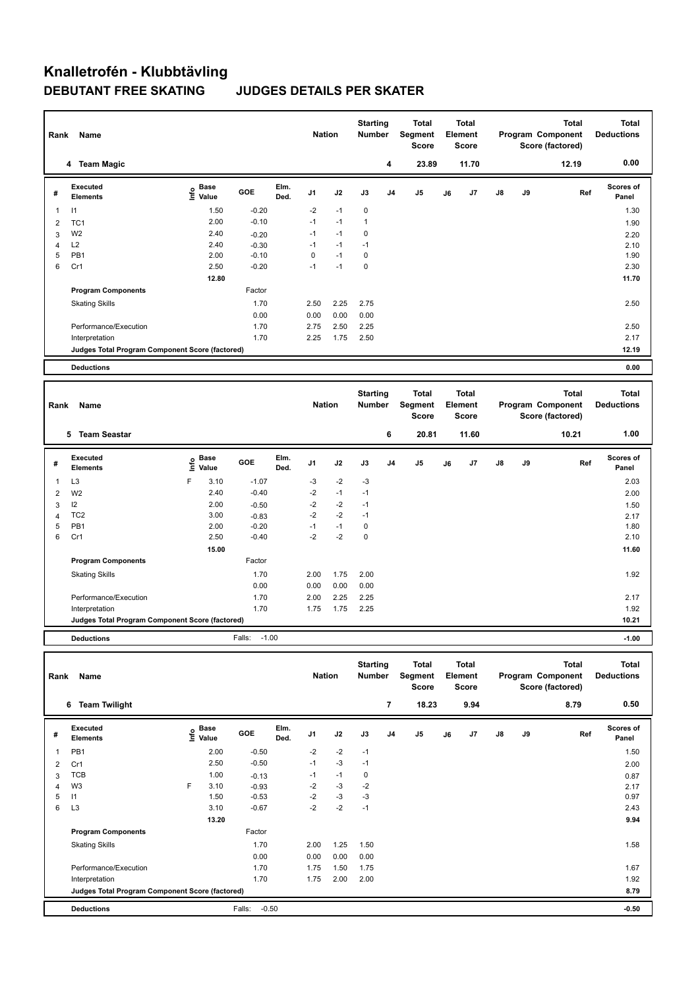### **Knalletrofén - Klubbtävling DEBUTANT FREE SKATING JUDGES DETAILS PER SKATER**

| Rank           | Name                                            |                              |         |              | <b>Nation</b>  |      | <b>Starting</b><br>Number        |                | <b>Total</b><br>Segment<br><b>Score</b> |    | <b>Total</b><br>Element<br><b>Score</b> |               |    | <b>Total</b><br>Program Component<br>Score (factored) | <b>Total</b><br><b>Deductions</b> |
|----------------|-------------------------------------------------|------------------------------|---------|--------------|----------------|------|----------------------------------|----------------|-----------------------------------------|----|-----------------------------------------|---------------|----|-------------------------------------------------------|-----------------------------------|
|                | 4 Team Magic                                    |                              |         |              |                |      |                                  | 4              | 23.89                                   |    | 11.70                                   |               |    | 12.19                                                 | 0.00                              |
| #              | Executed<br><b>Elements</b>                     | <b>Base</b><br>١nf٥<br>Value | GOE     | Elm.<br>Ded. | J <sub>1</sub> | J2   | J3                               | J <sub>4</sub> | J5                                      | J6 | J7                                      | J8            | J9 | Ref                                                   | Scores of<br>Panel                |
| 1              | $\mathsf{I}$                                    | 1.50                         | $-0.20$ |              | $-2$           | $-1$ | 0                                |                |                                         |    |                                         |               |    |                                                       | 1.30                              |
| 2              | TC <sub>1</sub>                                 | 2.00                         | $-0.10$ |              | $-1$           | $-1$ | $\mathbf{1}$                     |                |                                         |    |                                         |               |    |                                                       | 1.90                              |
| 3              | W <sub>2</sub>                                  | 2.40                         | $-0.20$ |              | $-1$           | $-1$ | 0                                |                |                                         |    |                                         |               |    |                                                       | 2.20                              |
| 4              | L2                                              | 2.40                         | $-0.30$ |              | $-1$           | $-1$ | $-1$                             |                |                                         |    |                                         |               |    |                                                       | 2.10                              |
| 5              | PB <sub>1</sub>                                 | 2.00                         | $-0.10$ |              | 0              | $-1$ | $\pmb{0}$                        |                |                                         |    |                                         |               |    |                                                       | 1.90                              |
| 6              | Cr1                                             | 2.50                         | $-0.20$ |              | $-1$           | $-1$ | 0                                |                |                                         |    |                                         |               |    |                                                       | 2.30                              |
|                |                                                 | 12.80                        |         |              |                |      |                                  |                |                                         |    |                                         |               |    |                                                       | 11.70                             |
|                | <b>Program Components</b>                       |                              | Factor  |              |                |      |                                  |                |                                         |    |                                         |               |    |                                                       |                                   |
|                | <b>Skating Skills</b>                           |                              | 1.70    |              | 2.50           | 2.25 | 2.75                             |                |                                         |    |                                         |               |    |                                                       | 2.50                              |
|                |                                                 |                              | 0.00    |              | 0.00           | 0.00 | 0.00                             |                |                                         |    |                                         |               |    |                                                       |                                   |
|                | Performance/Execution                           |                              | 1.70    |              | 2.75           | 2.50 | 2.25                             |                |                                         |    |                                         |               |    |                                                       | 2.50                              |
|                | Interpretation                                  |                              | 1.70    |              | 2.25           | 1.75 | 2.50                             |                |                                         |    |                                         |               |    |                                                       | 2.17                              |
|                | Judges Total Program Component Score (factored) |                              |         |              |                |      |                                  |                |                                         |    |                                         |               |    |                                                       | 12.19                             |
|                | <b>Deductions</b>                               |                              |         |              |                |      |                                  |                |                                         |    |                                         |               |    |                                                       | 0.00                              |
|                |                                                 |                              |         |              |                |      |                                  |                |                                         |    |                                         |               |    |                                                       |                                   |
| Rank           | Name                                            |                              |         |              | <b>Nation</b>  |      |                                  |                |                                         |    |                                         |               |    |                                                       |                                   |
|                |                                                 |                              |         |              |                |      | <b>Starting</b><br><b>Number</b> |                | <b>Total</b><br>Segment<br><b>Score</b> |    | <b>Total</b><br>Element<br><b>Score</b> |               |    | <b>Total</b><br>Program Component<br>Score (factored) | <b>Total</b><br><b>Deductions</b> |
|                | 5 Team Seastar                                  |                              |         |              |                |      |                                  | 6              | 20.81                                   |    | 11.60                                   |               |    | 10.21                                                 | 1.00                              |
| #              | <b>Executed</b><br><b>Elements</b>              | Base<br>١nfo<br>Value        | GOE     | Elm.<br>Ded. | J <sub>1</sub> | J2   | J3                               | J <sub>4</sub> | J <sub>5</sub>                          | J6 | J7                                      | $\mathsf{J}8$ | J9 | Ref                                                   | Scores of<br>Panel                |
| 1              | L <sub>3</sub>                                  | F<br>3.10                    | $-1.07$ |              | -3             | $-2$ | $-3$                             |                |                                         |    |                                         |               |    |                                                       | 2.03                              |
| $\overline{2}$ | W <sub>2</sub>                                  | 2.40                         | $-0.40$ |              | $-2$           | $-1$ | $-1$                             |                |                                         |    |                                         |               |    |                                                       | 2.00                              |
| 3              | 12                                              | 2.00                         | $-0.50$ |              | $-2$           | $-2$ | $-1$                             |                |                                         |    |                                         |               |    |                                                       | 1.50                              |
| $\overline{4}$ | TC <sub>2</sub>                                 | 3.00                         | $-0.83$ |              | $-2$           | $-2$ | $-1$                             |                |                                         |    |                                         |               |    |                                                       | 2.17                              |
| 5              | PB <sub>1</sub>                                 | 2.00                         | $-0.20$ |              | $-1$           | $-1$ | 0                                |                |                                         |    |                                         |               |    |                                                       | 1.80                              |
| 6              | Cr1                                             | 2.50                         | $-0.40$ |              | $-2$           | $-2$ | $\mathbf 0$                      |                |                                         |    |                                         |               |    |                                                       | 2.10                              |
|                |                                                 | 15.00                        |         |              |                |      |                                  |                |                                         |    |                                         |               |    |                                                       | 11.60                             |
|                | <b>Program Components</b>                       |                              | Factor  |              |                |      |                                  |                |                                         |    |                                         |               |    |                                                       |                                   |
|                | <b>Skating Skills</b>                           |                              | 1.70    |              | 2.00           | 1.75 | 2.00                             |                |                                         |    |                                         |               |    |                                                       | 1.92                              |

**Judges Total Program Component Score (factored) 10.21**

**Total Deductions Total Program Component Score (factored) Total Element Segment Score Total Score Starting Rank Name Nation Number # Executed Elements**  o Base<br>⊆ Value **Value GOE J1 J2 J3 J4 J5 J6 J7 J8 J9 Scores of Panel** 1 2.00 -0.50 -2 -2 -1 **Ref**  1.50 **Elm. Ded.**  PB1  **6 Team Twilight 7 18.23 9.94 8.79 0.50** 2 Cr1 2.50 -0.50 -1 -3 -1 2.00 3 TCB 1.00 -0.13 -1 -1 0 0.87 4 W3 6 F 3.10 -0.93 -2 -3 -2 2.17 5  $11$  0.97  $1.50$   $-0.53$   $-2$   $-3$   $-3$ 6 L3  $3.10$   $-0.67$   $-2$   $-2$   $-1$  **13.20 9.94 Program Components**  Skating Skills 2.00 1.25 1.50 Factor 1.70 2.00 1.25 1.50 2.00 2.00 1.58 0.00 0.00 0.00 0.00 Performance/Execution 1.70 1.75 1.75 1.50 1.75 1.50 1.75 1.67 Interpretation 1.70 1.75 2.00 2.00 1.92 **Deductions** Falls: -0.50 **-0.50 Judges Total Program Component Score (factored) 8.79**

Performance/Execution 1.70 2.00 2.25 2.25 2.17 Interpretation 1.70 1.75 1.75 2.25 1.92

**Deductions** Falls: -1.00 **-1.00**